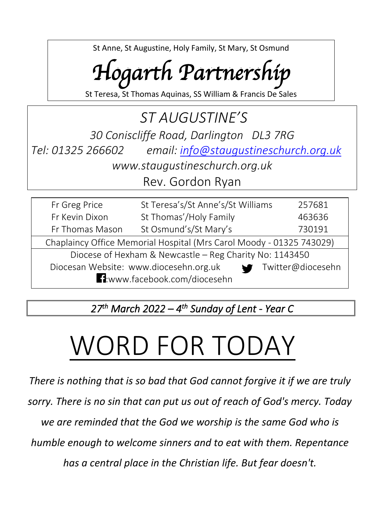St Anne, St Augustine, Holy Family, St Mary, St Osmund

## *Hogarth Partnership*

St Teresa, St Thomas Aquinas, SS William & Francis De Sales

## *ST AUGUSTINE'S 30 Coniscliffe Road, Darlington DL3 7RG Tel: 01325 266602 email: [info@staugustineschurch.org.uk](mailto:info@staugustineschurch.org.uk) www.staugustineschurch.org.uk* Rev. Gordon Ryan

| Fr Greg Price                                                        | St Teresa's/St Anne's/St Williams | 257681 |  |  |
|----------------------------------------------------------------------|-----------------------------------|--------|--|--|
| Fr Kevin Dixon                                                       | St Thomas'/Holy Family            | 463636 |  |  |
| Fr Thomas Mason                                                      | St Osmund's/St Mary's             | 730191 |  |  |
| Chaplaincy Office Memorial Hospital (Mrs Carol Moody - 01325 743029) |                                   |        |  |  |
| Diocese of Hexham & Newcastle - Reg Charity No: 1143450              |                                   |        |  |  |
| Diocesan Website: www.diocesehn.org.uk<br>Twitter@diocesehn          |                                   |        |  |  |
| 1:www.facebook.com/diocesehn                                         |                                   |        |  |  |

*27 th March 2022 – 4 th Sunday of Lent - Year C* 

# WORD FOR TODAY

*There is nothing that is so bad that God cannot forgive it if we are truly sorry. There is no sin that can put us out of reach of God's mercy. Today we are reminded that the God we worship is the same God who is humble enough to welcome sinners and to eat with them. Repentance has a central place in the Christian life. But fear doesn't.*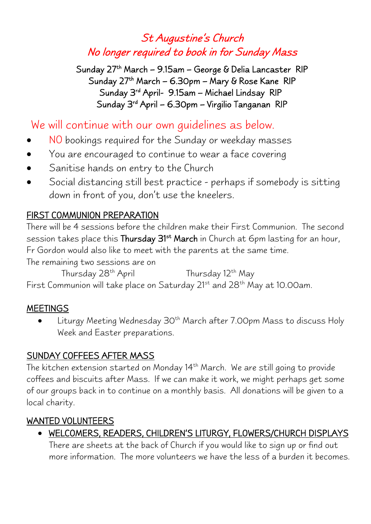## St Augustine's Church No longer required to book in for Sunday Mass

Sunday 27<sup>th</sup> March – 9.15am – George & Delia Lancaster RIP Sunday 27th March – 6.30pm – Mary & Rose Kane RIP Sunday 3<sup>rd</sup> April- 9.15am – Michael Lindsay RIP Sunday 3<sup>rd</sup> April – 6.30pm – Virgilio Tanganan RIP

## We will continue with our own guidelines as below.

- NO bookings required for the Sunday or weekday masses
- You are encouraged to continue to wear a face covering
- Sanitise hands on entry to the Church
- Social distancing still best practice perhaps if somebody is sitting down in front of you, don't use the kneelers.

#### FIRST COMMUNION PREPARATION

There will be 4 sessions before the children make their First Communion. The second session takes place this **Thursday 31<sup>st</sup> March** in Church at 6pm lasting for an hour, Fr Gordon would also like to meet with the parents at the same time.

The remaining two sessions are on

Thursday 28<sup>th</sup> April Thursday 12<sup>th</sup> May First Communion will take place on Saturday 21<sup>st</sup> and 28<sup>th</sup> May at 10.00am.

#### **MEETINGS**

Liturgy Meeting Wednesday 30<sup>th</sup> March after 7.00pm Mass to discuss Holy Week and Easter preparations.

#### SUNDAY COFFEES AFTER MASS

The kitchen extension started on Monday 14<sup>th</sup> March. We are still going to provide coffees and biscuits after Mass. If we can make it work, we might perhaps get some of our groups back in to continue on a monthly basis. All donations will be given to a local charity.

#### WANTED VOLUNTEERS

• WELCOMERS, READERS, CHILDREN'S LITURGY, FLOWERS/CHURCH DISPLAYS

There are sheets at the back of Church if you would like to sign up or find out more information. The more volunteers we have the less of a burden it becomes.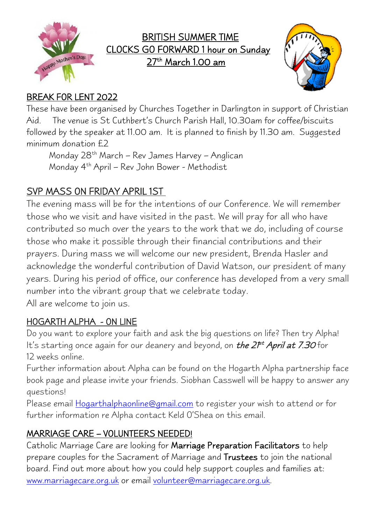

## BRITISH SUMMER TIME CLOCKS GO FORWARD 1 hour on Sunday <u>27th March 1.00 am</u>



## BREAK FOR LENT 2022

These have been organised by Churches Together in Darlington in support of Christian Aid. The venue is St Cuthbert's Church Parish Hall, 10.30am for coffee/biscuits followed by the speaker at 11.00 am. It is planned to finish by 11.30 am. Suggested minimum donation £2

Monday 28th March – Rev James Harvey – Anglican Monday 4th April – Rev John Bower - Methodist

## SVP MASS ON FRIDAY APRIL 1ST

The evening mass will be for the intentions of our Conference. We will remember those who we visit and have visited in the past. We will pray for all who have contributed so much over the years to the work that we do, including of course those who make it possible through their financial contributions and their prayers. During mass we will welcome our new president, Brenda Hasler and acknowledge the wonderful contribution of David Watson, our president of many years. During his period of office, our conference has developed from a very small number into the vibrant group that we celebrate today.

All are welcome to join us.

## HOGARTH ALPHA - ON LINE

Do you want to explore your faith and ask the big questions on life? Then try Alpha! It's starting once again for our deanery and beyond, on *the 2f<sup>st</sup> April at 7.30* for 12 weeks online.

Further information about Alpha can be found on the Hogarth Alpha partnership face book page and please invite your friends. Siobhan Casswell will be happy to answer any questions!

Please email [Hogarthalphaonline@gmail.com](mailto:Hogarthalphaonline@gmail.com) to register your wish to attend or for further information re Alpha contact Keld O'Shea on this email.

## MARRIAGE CARE – VOLUNTEERS NEEDED!

Catholic Marriage Care are looking for Marriage Preparation Facilitators to help prepare couples for the Sacrament of Marriage and Trustees to join the national board. Find out more about how you could help support couples and families at: [www.marriagecare.org.uk](http://www.marriagecare.org.uk/) or email [volunteer@marriagecare.org.uk.](mailto:volunteer@marriagecare.org.uk)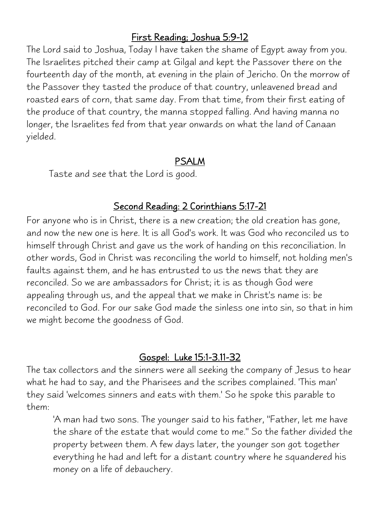#### First Reading; Joshua 5:9-12

The Lord said to Joshua, Today I have taken the shame of Egypt away from you. The Israelites pitched their camp at Gilgal and kept the Passover there on the fourteenth day of the month, at evening in the plain of Jericho. On the morrow of the Passover they tasted the produce of that country, unleavened bread and roasted ears of corn, that same day. From that time, from their first eating of the produce of that country, the manna stopped falling. And having manna no longer, the Israelites fed from that year onwards on what the land of Canaan yielded.

#### PSALM

Taste and see that the Lord is good.

#### Second Reading: 2 Corinthians 5:17-21

For anyone who is in Christ, there is a new creation; the old creation has gone, and now the new one is here. It is all God's work. It was God who reconciled us to himself through Christ and gave us the work of handing on this reconciliation. In other words, God in Christ was reconciling the world to himself, not holding men's faults against them, and he has entrusted to us the news that they are reconciled. So we are ambassadors for Christ; it is as though God were appealing through us, and the appeal that we make in Christ's name is: be reconciled to God. For our sake God made the sinless one into sin, so that in him we might become the goodness of God.

## Gospel: Luke 15:1-3.11-32

The tax collectors and the sinners were all seeking the company of Jesus to hear what he had to say, and the Pharisees and the scribes complained. 'This man' they said 'welcomes sinners and eats with them.' So he spoke this parable to them:

'A man had two sons. The younger said to his father, "Father, let me have the share of the estate that would come to me." So the father divided the property between them. A few days later, the younger son got together everything he had and left for a distant country where he squandered his money on a life of debauchery.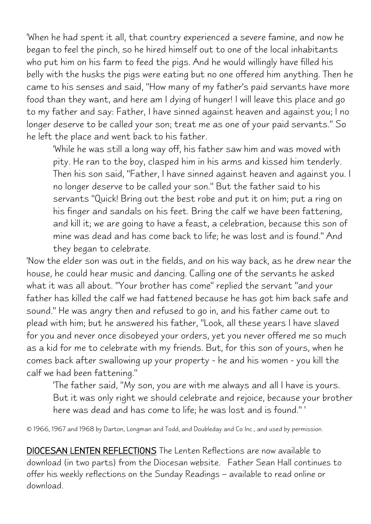'When he had spent it all, that country experienced a severe famine, and now he began to feel the pinch, so he hired himself out to one of the local inhabitants who put him on his farm to feed the pigs. And he would willingly have filled his belly with the husks the pigs were eating but no one offered him anything. Then he came to his senses and said, "How many of my father's paid servants have more food than they want, and here am I dying of hunger! I will leave this place and go to my father and say: Father, I have sinned against heaven and against you; I no longer deserve to be called your son; treat me as one of your paid servants." So he left the place and went back to his father.

'While he was still a long way off, his father saw him and was moved with pity. He ran to the boy, clasped him in his arms and kissed him tenderly. Then his son said, "Father, I have sinned against heaven and against you. I no longer deserve to be called your son." But the father said to his servants "Quick! Bring out the best robe and put it on him; put a ring on his finger and sandals on his feet. Bring the calf we have been fattening, and kill it; we are going to have a feast, a celebration, because this son of mine was dead and has come back to life; he was lost and is found." And they began to celebrate.

'Now the elder son was out in the fields, and on his way back, as he drew near the house, he could hear music and dancing. Calling one of the servants he asked what it was all about. "Your brother has come" replied the servant "and your father has killed the calf we had fattened because he has got him back safe and sound." He was angry then and refused to go in, and his father came out to plead with him; but he answered his father, "Look, all these years I have slaved for you and never once disobeyed your orders, yet you never offered me so much as a kid for me to celebrate with my friends. But, for this son of yours, when he comes back after swallowing up your property - he and his women - you kill the calf we had been fattening."

'The father said, "My son, you are with me always and all I have is yours. But it was only right we should celebrate and rejoice, because your brother here was dead and has come to life; he was lost and is found." '

© 1966, 1967 and 1968 by Darton, Longman and Todd, and Doubleday and Co Inc., and used by permission.

DIOCESAN LENTEN REFLECTIONS The Lenten Reflections are now available to download (in two parts) from the Diocesan website. Father Sean Hall continues to offer his weekly reflections on the Sunday Readings – available to read online or download.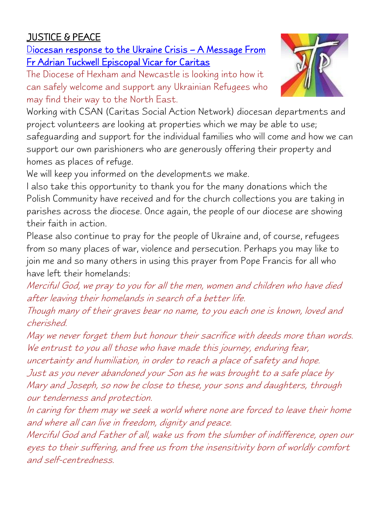## JUSTICE & PEACE

Diocesan response to the Ukraine Crisis – A Message From Fr Adrian Tuckwell Episcopal Vicar for Caritas

The Diocese of Hexham and Newcastle is looking into how it can safely welcome and support any Ukrainian Refugees who may find their way to the North East.



Working with CSAN (Caritas Social Action Network) diocesan departments and project volunteers are looking at properties which we may be able to use; safeguarding and support for the individual families who will come and how we can support our own parishioners who are generously offering their property and homes as places of refuge.

We will keep you informed on the developments we make.

I also take this opportunity to thank you for the many donations which the Polish Community have received and for the church collections you are taking in parishes across the diocese. Once again, the people of our diocese are showing their faith in action.

Please also continue to pray for the people of Ukraine and, of course, refugees from so many places of war, violence and persecution. Perhaps you may like to join me and so many others in using this prayer from Pope Francis for all who have left their homelands:

Merciful God, we pray to you for all the men, women and children who have died after leaving their homelands in search of <sup>a</sup> better life.

Though many of their graves bear no name, to you each one is known, loved and cherished.

May we never forget them but honour their sacrifice with deeds more than words. We entrust to you all those who have made this journey, enduring fear,

uncertainty and humiliation, in order to reach <sup>a</sup> place of safety and hope. Just as you never abandoned your Son as he was brought to <sup>a</sup> safe place by Mary and Joseph, so now be close to these, your sons and daughters, through our tenderness and protection.

In caring for them may we seek <sup>a</sup> world where none are forced to leave their home and where all can live in freedom, dignity and peace.

Merciful God and Father of all, wake us from the slumber of indifference, open our eyes to their suffering, and free us from the insensitivity born of worldly comfort and self-centredness.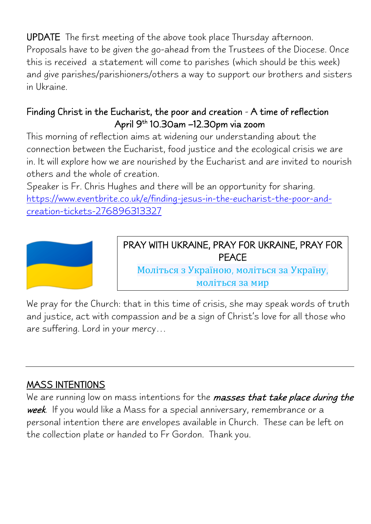UPDATE The first meeting of the above took place Thursday afternoon. Proposals have to be given the go-ahead from the Trustees of the Diocese. Once this is received a statement will come to parishes (which should be this week) and give parishes/parishioners/others a way to support our brothers and sisters in Ukraine.

## Finding Christ in the Eucharist, the poor and creation - A time of reflection April 9<sup>th</sup> 10.30am –12.30pm via zoom

This morning of reflection aims at widening our understanding about the connection between the Eucharist, food justice and the ecological crisis we are in. It will explore how we are nourished by the Eucharist and are invited to nourish others and the whole of creation.

Speaker is Fr. Chris Hughes and there will be an opportunity for sharing. [https://www.eventbrite.co.uk/e/finding-jesus-in-the-eucharist-the-poor-and](https://www.eventbrite.co.uk/e/finding-jesus-in-the-eucharist-the-poor-and-creation-tickets-276896313327)[creation-tickets-276896313327](https://www.eventbrite.co.uk/e/finding-jesus-in-the-eucharist-the-poor-and-creation-tickets-276896313327)



## PRAY WITH UKRAINE, PRAY FOR UKRAINE, PRAY FOR PEACE

Моліться з Україною, моліться за Україну, моліться за мир

We pray for the Church: that in this time of crisis, she may speak words of truth and justice, act with compassion and be a sign of Christ's love for all those who are suffering. Lord in your mercy…

## MASS INTENTIONS

We are running low on mass intentions for the masses that take place during the week. If you would like a Mass for a special anniversary, remembrance or a personal intention there are envelopes available in Church. These can be left on the collection plate or handed to Fr Gordon. Thank you.